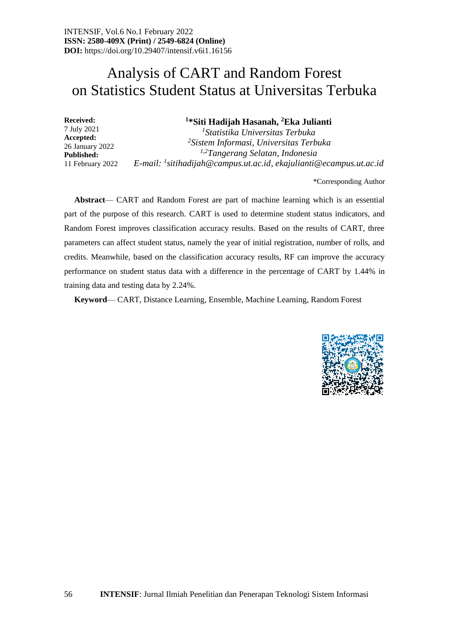# Analysis of CART and Random Forest on Statistics Student Status at Universitas Terbuka

| <b>Received:</b><br>7 July 2021<br>Accepted:<br>26 January 2022<br><b>Published:</b> | <sup>1</sup> *Siti Hadijah Hasanah, <sup>2</sup> Eka Julianti<br><sup>1</sup> Statistika Universitas Terbuka<br><sup>2</sup> Sistem Informasi, Universitas Terbuka<br><sup>1,2</sup> Tangerang Selatan, Indonesia |
|--------------------------------------------------------------------------------------|-------------------------------------------------------------------------------------------------------------------------------------------------------------------------------------------------------------------|
| 11 February 2022                                                                     | E-mail: $^1$ sitihadijah@campus.ut.ac.id, ekajulianti@ecampus.ut.ac.id                                                                                                                                            |

\*Corresponding Author

**Abstract**— CART and Random Forest are part of machine learning which is an essential part of the purpose of this research. CART is used to determine student status indicators, and Random Forest improves classification accuracy results. Based on the results of CART, three parameters can affect student status, namely the year of initial registration, number of rolls, and credits. Meanwhile, based on the classification accuracy results, RF can improve the accuracy performance on student status data with a difference in the percentage of CART by 1.44% in training data and testing data by 2.24%.

**Keyword**— CART, Distance Learning, Ensemble, Machine Learning, Random Forest

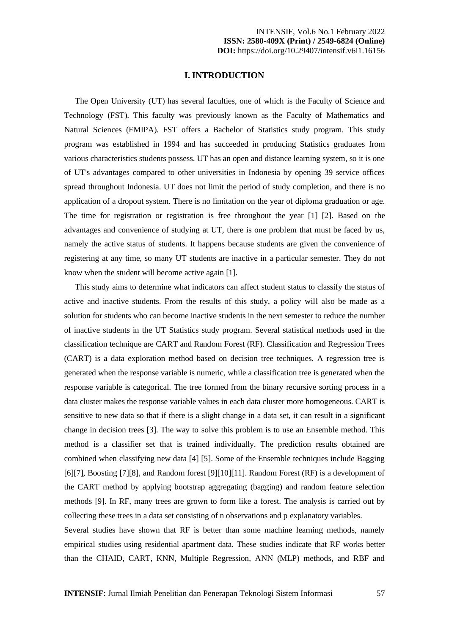## **I. INTRODUCTION**

The Open University (UT) has several faculties, one of which is the Faculty of Science and Technology (FST). This faculty was previously known as the Faculty of Mathematics and Natural Sciences (FMIPA). FST offers a Bachelor of Statistics study program. This study program was established in 1994 and has succeeded in producing Statistics graduates from various characteristics students possess. UT has an open and distance learning system, so it is one of UT's advantages compared to other universities in Indonesia by opening 39 service offices spread throughout Indonesia. UT does not limit the period of study completion, and there is no application of a dropout system. There is no limitation on the year of diploma graduation or age. The time for registration or registration is free throughout the year [1] [2]. Based on the advantages and convenience of studying at UT, there is one problem that must be faced by us, namely the active status of students. It happens because students are given the convenience of registering at any time, so many UT students are inactive in a particular semester. They do not know when the student will become active again [1].

This study aims to determine what indicators can affect student status to classify the status of active and inactive students. From the results of this study, a policy will also be made as a solution for students who can become inactive students in the next semester to reduce the number of inactive students in the UT Statistics study program. Several statistical methods used in the classification technique are CART and Random Forest (RF). Classification and Regression Trees (CART) is a data exploration method based on decision tree techniques. A regression tree is generated when the response variable is numeric, while a classification tree is generated when the response variable is categorical. The tree formed from the binary recursive sorting process in a data cluster makes the response variable values in each data cluster more homogeneous. CART is sensitive to new data so that if there is a slight change in a data set, it can result in a significant change in decision trees [3]. The way to solve this problem is to use an Ensemble method. This method is a classifier set that is trained individually. The prediction results obtained are combined when classifying new data [4] [5]. Some of the Ensemble techniques include Bagging [6][7], Boosting [7][8], and Random forest [9][10][11]. Random Forest (RF) is a development of the CART method by applying bootstrap aggregating (bagging) and random feature selection methods [9]. In RF, many trees are grown to form like a forest. The analysis is carried out by collecting these trees in a data set consisting of n observations and p explanatory variables.

Several studies have shown that RF is better than some machine learning methods, namely empirical studies using residential apartment data. These studies indicate that RF works better than the CHAID, CART, KNN, Multiple Regression, ANN (MLP) methods, and RBF and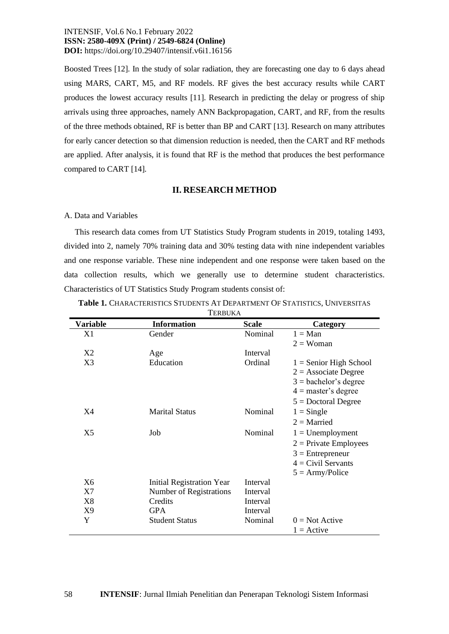Boosted Trees [12]. In the study of solar radiation, they are forecasting one day to 6 days ahead using MARS, CART, M5, and RF models. RF gives the best accuracy results while CART produces the lowest accuracy results [11]. Research in predicting the delay or progress of ship arrivals using three approaches, namely ANN Backpropagation, CART, and RF, from the results of the three methods obtained, RF is better than BP and CART [13]. Research on many attributes for early cancer detection so that dimension reduction is needed, then the CART and RF methods are applied. After analysis, it is found that RF is the method that produces the best performance compared to CART [14].

## **II. RESEARCH METHOD**

#### A. Data and Variables

This research data comes from UT Statistics Study Program students in 2019, totaling 1493, divided into 2, namely 70% training data and 30% testing data with nine independent variables and one response variable. These nine independent and one response were taken based on the data collection results, which we generally use to determine student characteristics. Characteristics of UT Statistics Study Program students consist of:

| <b>Variable</b> | <b>Information</b>               |              |                          |
|-----------------|----------------------------------|--------------|--------------------------|
|                 |                                  | <b>Scale</b> | Category                 |
| X1              | Gender                           | Nominal      | $1 = Man$                |
|                 |                                  |              | $2 = Woman$              |
| X <sub>2</sub>  | Age                              | Interval     |                          |
| X3              | Education                        | Ordinal      | $1 =$ Senior High School |
|                 |                                  |              | $2 =$ Associate Degree   |
|                 |                                  |              | $3 =$ bachelor's degree  |
|                 |                                  |              | $4 =$ master's degree    |
|                 |                                  |              | $5 =$ Doctoral Degree    |
| X4              | <b>Marital Status</b>            | Nominal      | $1 =$ Single             |
|                 |                                  |              | $2 =$ Married            |
| X5              | Job                              | Nominal      | $1 =$ Unemployment       |
|                 |                                  |              | $2$ = Private Employees  |
|                 |                                  |              | $3$ = Entrepreneur       |
|                 |                                  |              | $4 = Civil$ Servants     |
|                 |                                  |              | $5 = Army/Policy$        |
| X <sub>6</sub>  | <b>Initial Registration Year</b> | Interval     |                          |
| X7              | <b>Number of Registrations</b>   | Interval     |                          |
| X8              | Credits                          | Interval     |                          |
| X9              | <b>GPA</b>                       | Interval     |                          |
| Y               | <b>Student Status</b>            | Nominal      | $0 = Not$ Active         |
|                 |                                  |              | $1 =$ Active             |

**Table 1.** CHARACTERISTICS STUDENTS AT DEPARTMENT OF STATISTICS, UNIVERSITAS TED DILLA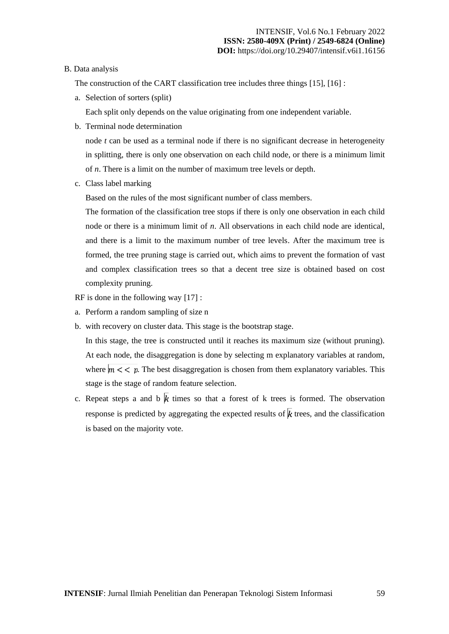## B. Data analysis

The construction of the CART classification tree includes three things [15], [16] :

a. Selection of sorters (split)

Each split only depends on the value originating from one independent variable.

b. Terminal node determination

node *t* can be used as a terminal node if there is no significant decrease in heterogeneity in splitting, there is only one observation on each child node, or there is a minimum limit of *n*. There is a limit on the number of maximum tree levels or depth.

c. Class label marking

Based on the rules of the most significant number of class members.

The formation of the classification tree stops if there is only one observation in each child node or there is a minimum limit of *n*. All observations in each child node are identical, and there is a limit to the maximum number of tree levels. After the maximum tree is formed, the tree pruning stage is carried out, which aims to prevent the formation of vast and complex classification trees so that a decent tree size is obtained based on cost complexity pruning.

RF is done in the following way [17] :

- a. Perform a random sampling of size n
- b. with recovery on cluster data. This stage is the bootstrap stage.

In this stage, the tree is constructed until it reaches its maximum size (without pruning). At each node, the disaggregation is done by selecting m explanatory variables at random, where  $m \lt \lt p$ . The best disaggregation is chosen from them explanatory variables. This stage is the stage of random feature selection.

c. Repeat steps a and b  $\overline{k}$  times so that a forest of k trees is formed. The observation response is predicted by aggregating the expected results of  $\overline{k}$  trees, and the classification is based on the majority vote.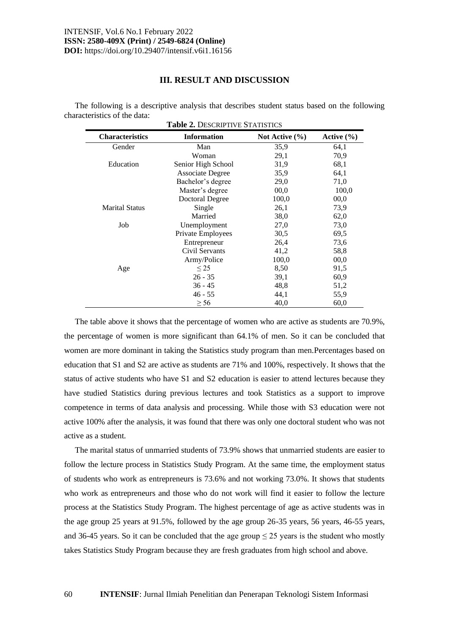# **III. RESULT AND DISCUSSION**

The following is a descriptive analysis that describes student status based on the following characteristics of the data:

| <b>Characteristics</b> | <b>Information</b>     | Not Active $(\% )$ | Active $(\% )$ |
|------------------------|------------------------|--------------------|----------------|
| Gender                 | Man                    | 35,9               | 64,1           |
|                        | Woman                  | 29,1               | 70,9           |
| Education              | Senior High School     | 31,9               | 68,1           |
|                        | Associate Degree       | 35,9               | 64,1           |
|                        | Bachelor's degree      | 29,0               | 71,0           |
|                        | Master's degree        | 00,0               | 100,0          |
|                        | <b>Doctoral Degree</b> | 100,0              | 00,0           |
| <b>Marital Status</b>  | Single                 | 26,1               | 73,9           |
|                        | Married                | 38,0               | 62,0           |
| Job                    | Unemployment           | 27,0               | 73,0           |
|                        | Private Employees      | 30,5               | 69,5           |
|                        | Entrepreneur           | 26,4               | 73,6           |
|                        | Civil Servants         | 41,2               | 58,8           |
|                        | Army/Police            | 100,0              | 00,0           |
| Age                    | $\leq$ 25              | 8,50               | 91,5           |
|                        | $26 - 35$              | 39,1               | 60,9           |
|                        | $36 - 45$              | 48,8               | 51,2           |
|                        | $46 - 55$              | 44,1               | 55,9           |
|                        | $\geq$ 56              | 40,0               | 60,0           |

The table above it shows that the percentage of women who are active as students are 70.9%, the percentage of women is more significant than 64.1% of men. So it can be concluded that women are more dominant in taking the Statistics study program than men.Percentages based on education that S1 and S2 are active as students are 71% and 100%, respectively. It shows that the status of active students who have S1 and S2 education is easier to attend lectures because they have studied Statistics during previous lectures and took Statistics as a support to improve competence in terms of data analysis and processing. While those with S3 education were not active 100% after the analysis, it was found that there was only one doctoral student who was not active as a student.

The marital status of unmarried students of 73.9% shows that unmarried students are easier to follow the lecture process in Statistics Study Program. At the same time, the employment status of students who work as entrepreneurs is 73.6% and not working 73.0%. It shows that students who work as entrepreneurs and those who do not work will find it easier to follow the lecture process at the Statistics Study Program. The highest percentage of age as active students was in the age group 25 years at 91.5%, followed by the age group 26-35 years, 56 years, 46-55 years, and 36-45 years. So it can be concluded that the age group  $\leq$  25 years is the student who mostly takes Statistics Study Program because they are fresh graduates from high school and above.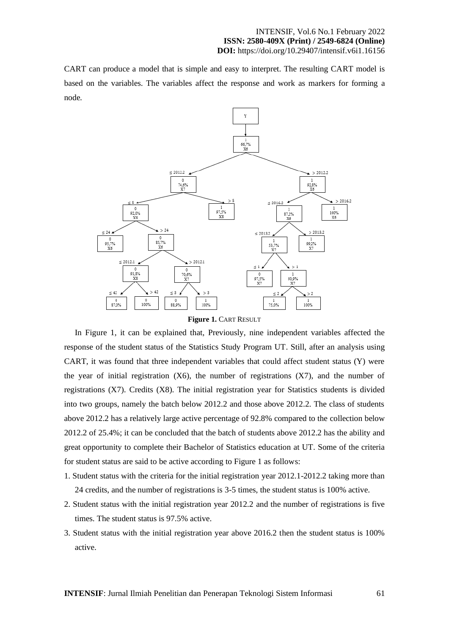CART can produce a model that is simple and easy to interpret. The resulting CART model is based on the variables. The variables affect the response and work as markers for forming a node.



**Figure 1. CART RESULT** 

In Figure 1, it can be explained that, Previously, nine independent variables affected the response of the student status of the Statistics Study Program UT. Still, after an analysis using CART, it was found that three independent variables that could affect student status (Y) were the year of initial registration  $(X6)$ , the number of registrations  $(X7)$ , and the number of registrations (X7). Credits (X8). The initial registration year for Statistics students is divided into two groups, namely the batch below 2012.2 and those above 2012.2. The class of students above 2012.2 has a relatively large active percentage of 92.8% compared to the collection below 2012.2 of 25.4%; it can be concluded that the batch of students above 2012.2 has the ability and great opportunity to complete their Bachelor of Statistics education at UT. Some of the criteria for student status are said to be active according to Figure 1 as follows:

- 1. Student status with the criteria for the initial registration year 2012.1-2012.2 taking more than 24 credits, and the number of registrations is 3-5 times, the student status is 100% active.
- 2. Student status with the initial registration year 2012.2 and the number of registrations is five times. The student status is 97.5% active.
- 3. Student status with the initial registration year above 2016.2 then the student status is 100% active.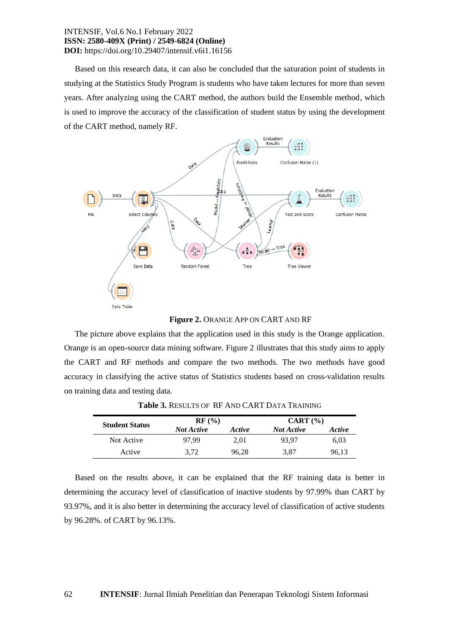Based on this research data, it can also be concluded that the saturation point of students in studying at the Statistics Study Program is students who have taken lectures for more than seven years. After analyzing using the CART method, the authors build the Ensemble method, which is used to improve the accuracy of the classification of student status by using the development of the CART method, namely RF.



## **Figure 2.** ORANGE APP ON CART AND RF

The picture above explains that the application used in this study is the Orange application. Orange is an open-source data mining software. Figure 2 illustrates that this study aims to apply the CART and RF methods and compare the two methods. The two methods have good accuracy in classifying the active status of Statistics students based on cross-validation results on training data and testing data.

|                       | RF (%)            |               | CART (%)          |               |
|-----------------------|-------------------|---------------|-------------------|---------------|
| <b>Student Status</b> | <b>Not Active</b> | <i>Active</i> | <b>Not Active</b> | <b>Active</b> |
| Not Active            | 97.99             | 2.01          | 93.97             | 6,03          |
| Active                | 3.72              | 96.28         | 3,87              | 96,13         |

**Table 3.** RESULTS OF RF AND CART DATA TRAINING

Based on the results above, it can be explained that the RF training data is better in determining the accuracy level of classification of inactive students by 97.99% than CART by 93.97%, and it is also better in determining the accuracy level of classification of active students by 96.28%. of CART by 96.13%.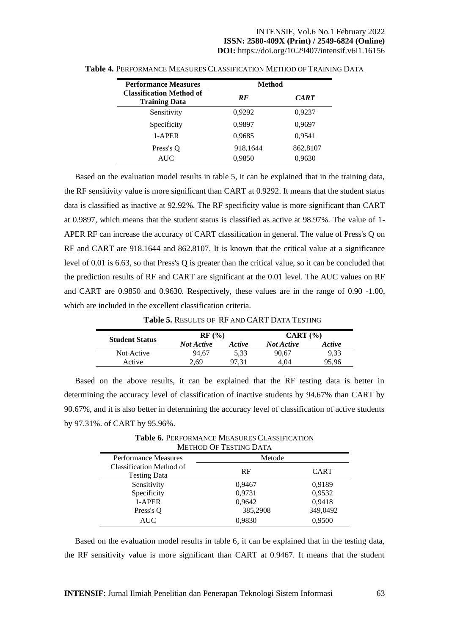| <b>Performance Measures</b>                             | <b>Method</b> |             |
|---------------------------------------------------------|---------------|-------------|
| <b>Classification Method of</b><br><b>Training Data</b> | RF            | <b>CART</b> |
| Sensitivity                                             | 0,9292        | 0,9237      |
| Specificity                                             | 0,9897        | 0,9697      |
| 1-APER                                                  | 0,9685        | 0,9541      |
| Press's Q                                               | 918,1644      | 862,8107    |
| <b>AUC</b>                                              | 0.9850        | 0.9630      |

**Table 4.** PERFORMANCE MEASURES CLASSIFICATION METHOD OF TRAINING DATA

Based on the evaluation model results in table 5, it can be explained that in the training data, the RF sensitivity value is more significant than CART at 0.9292. It means that the student status data is classified as inactive at 92.92%. The RF specificity value is more significant than CART at 0.9897, which means that the student status is classified as active at 98.97%. The value of 1- APER RF can increase the accuracy of CART classification in general. The value of Press's Q on RF and CART are 918.1644 and 862.8107. It is known that the critical value at a significance level of 0.01 is 6.63, so that Press's Q is greater than the critical value, so it can be concluded that the prediction results of RF and CART are significant at the 0.01 level. The AUC values on RF and CART are 0.9850 and 0.9630. Respectively, these values are in the range of 0.90 -1.00, which are included in the excellent classification criteria.

**Table 5.** RESULTS OF RF AND CART DATA TESTING

| <b>Student Status</b> | RF(%)             |               | CART (%)          |        |
|-----------------------|-------------------|---------------|-------------------|--------|
|                       | <b>Not Active</b> | <i>Active</i> | <b>Not Active</b> | Active |
| Not Active            | 94.67             | 5.33          | 90.67             | 9.33   |
| Active                | 2.69              | 97.31         | 4.04              | 95.96  |
|                       |                   |               |                   |        |

Based on the above results, it can be explained that the RF testing data is better in determining the accuracy level of classification of inactive students by 94.67% than CART by 90.67%, and it is also better in determining the accuracy level of classification of active students by 97.31%. of CART by 95.96%.

**Table 6.** PERFORMANCE MEASURES CLASSIFICATION METHOD OF TESTING DATA

| METHOD OF TESTING DATA                          |          |             |  |
|-------------------------------------------------|----------|-------------|--|
| <b>Performance Measures</b>                     | Metode   |             |  |
| Classification Method of<br><b>Testing Data</b> | RF       | <b>CART</b> |  |
| Sensitivity                                     | 0,9467   | 0,9189      |  |
| Specificity                                     | 0,9731   | 0,9532      |  |
| 1-APER                                          | 0,9642   | 0,9418      |  |
| Press's Q                                       | 385,2908 | 349,0492    |  |
| <b>AUC</b>                                      | 0,9830   | 0.9500      |  |

Based on the evaluation model results in table 6, it can be explained that in the testing data, the RF sensitivity value is more significant than CART at 0.9467. It means that the student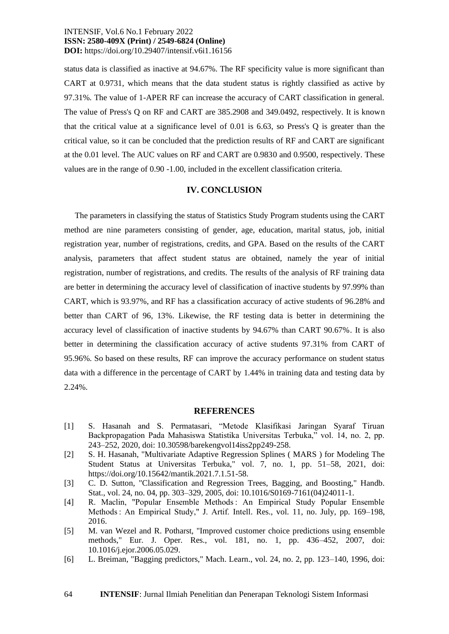status data is classified as inactive at 94.67%. The RF specificity value is more significant than CART at 0.9731, which means that the data student status is rightly classified as active by 97.31%. The value of 1-APER RF can increase the accuracy of CART classification in general. The value of Press's Q on RF and CART are 385.2908 and 349.0492, respectively. It is known that the critical value at a significance level of 0.01 is 6.63, so Press's Q is greater than the critical value, so it can be concluded that the prediction results of RF and CART are significant at the 0.01 level. The AUC values on RF and CART are 0.9830 and 0.9500, respectively. These values are in the range of 0.90 -1.00, included in the excellent classification criteria.

## **IV. CONCLUSION**

The parameters in classifying the status of Statistics Study Program students using the CART method are nine parameters consisting of gender, age, education, marital status, job, initial registration year, number of registrations, credits, and GPA. Based on the results of the CART analysis, parameters that affect student status are obtained, namely the year of initial registration, number of registrations, and credits. The results of the analysis of RF training data are better in determining the accuracy level of classification of inactive students by 97.99% than CART, which is 93.97%, and RF has a classification accuracy of active students of 96.28% and better than CART of 96, 13%. Likewise, the RF testing data is better in determining the accuracy level of classification of inactive students by 94.67% than CART 90.67%. It is also better in determining the classification accuracy of active students 97.31% from CART of 95.96%. So based on these results, RF can improve the accuracy performance on student status data with a difference in the percentage of CART by 1.44% in training data and testing data by 2.24%.

## **REFERENCES**

- [1] S. Hasanah and S. Permatasari, "Metode Klasifikasi Jaringan Syaraf Tiruan Backpropagation Pada Mahasiswa Statistika Universitas Terbuka," vol. 14, no. 2, pp. 243–252, 2020, doi: 10.30598/barekengvol14iss2pp249-258.
- [2] S. H. Hasanah, "Multivariate Adaptive Regression Splines ( MARS ) for Modeling The Student Status at Universitas Terbuka," vol. 7, no. 1, pp. 51–58, 2021, doi: https://doi.org/10.15642/mantik.2021.7.1.51-58.
- [3] C. D. Sutton, "Classification and Regression Trees, Bagging, and Boosting," Handb. Stat., vol. 24, no. 04, pp. 303–329, 2005, doi: 10.1016/S0169-7161(04)24011-1.
- [4] R. Maclin, "Popular Ensemble Methods : An Empirical Study Popular Ensemble Methods : An Empirical Study," J. Artif. Intell. Res., vol. 11, no. July, pp. 169–198, 2016.
- [5] M. van Wezel and R. Potharst, "Improved customer choice predictions using ensemble methods," Eur. J. Oper. Res., vol. 181, no. 1, pp. 436–452, 2007, doi: 10.1016/j.ejor.2006.05.029.
- [6] L. Breiman, "Bagging predictors," Mach. Learn., vol. 24, no. 2, pp. 123–140, 1996, doi: